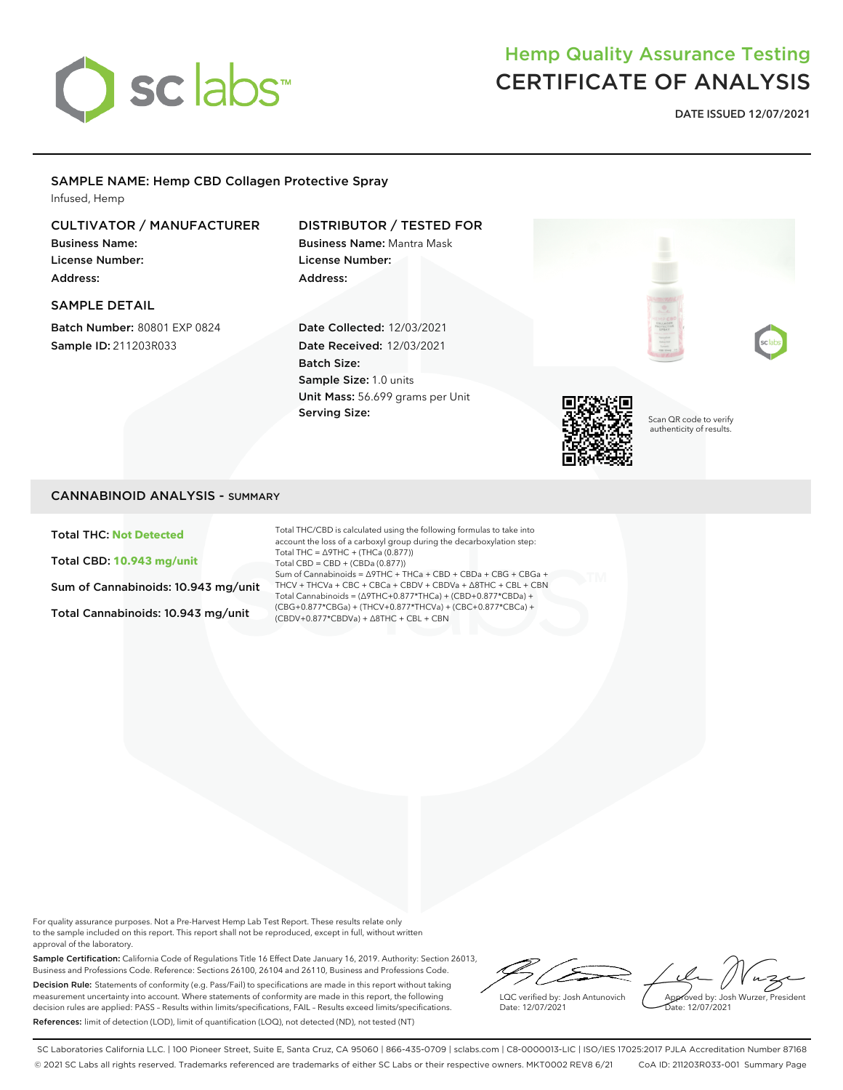

## Hemp Quality Assurance Testing CERTIFICATE OF ANALYSIS

DATE ISSUED 12/07/2021

## SAMPLE NAME: Hemp CBD Collagen Protective Spray

Infused, Hemp

### CULTIVATOR / MANUFACTURER

Business Name: License Number: Address:

#### SAMPLE DETAIL

Batch Number: 80801 EXP 0824 Sample ID: 211203R033

## DISTRIBUTOR / TESTED FOR

Business Name: Mantra Mask License Number: Address:

Date Collected: 12/03/2021 Date Received: 12/03/2021 Batch Size: Sample Size: 1.0 units Unit Mass: 56.699 grams per Unit Serving Size:



Scan QR code to verify authenticity of results.

#### CANNABINOID ANALYSIS - SUMMARY

Total THC: **Not Detected**

Total CBD: **10.943 mg/unit**

Sum of Cannabinoids: 10.943 mg/unit

Total Cannabinoids: 10.943 mg/unit

Total THC/CBD is calculated using the following formulas to take into account the loss of a carboxyl group during the decarboxylation step: Total THC = ∆9THC + (THCa (0.877)) Total CBD = CBD + (CBDa (0.877)) Sum of Cannabinoids = ∆9THC + THCa + CBD + CBDa + CBG + CBGa + THCV + THCVa + CBC + CBCa + CBDV + CBDVa + ∆8THC + CBL + CBN Total Cannabinoids = (∆9THC+0.877\*THCa) + (CBD+0.877\*CBDa) + (CBG+0.877\*CBGa) + (THCV+0.877\*THCVa) + (CBC+0.877\*CBCa) + (CBDV+0.877\*CBDVa) + ∆8THC + CBL + CBN

For quality assurance purposes. Not a Pre-Harvest Hemp Lab Test Report. These results relate only to the sample included on this report. This report shall not be reproduced, except in full, without written approval of the laboratory.

Sample Certification: California Code of Regulations Title 16 Effect Date January 16, 2019. Authority: Section 26013, Business and Professions Code. Reference: Sections 26100, 26104 and 26110, Business and Professions Code. Decision Rule: Statements of conformity (e.g. Pass/Fail) to specifications are made in this report without taking measurement uncertainty into account. Where statements of conformity are made in this report, the following decision rules are applied: PASS – Results within limits/specifications, FAIL – Results exceed limits/specifications. References: limit of detection (LOD), limit of quantification (LOQ), not detected (ND), not tested (NT)

LQC verified by: Josh Antunovich Date: 12/07/2021

Approved by: Josh Wurzer, President Date: 12/07/2021

SC Laboratories California LLC. | 100 Pioneer Street, Suite E, Santa Cruz, CA 95060 | 866-435-0709 | sclabs.com | C8-0000013-LIC | ISO/IES 17025:2017 PJLA Accreditation Number 87168 © 2021 SC Labs all rights reserved. Trademarks referenced are trademarks of either SC Labs or their respective owners. MKT0002 REV8 6/21 CoA ID: 211203R033-001 Summary Page